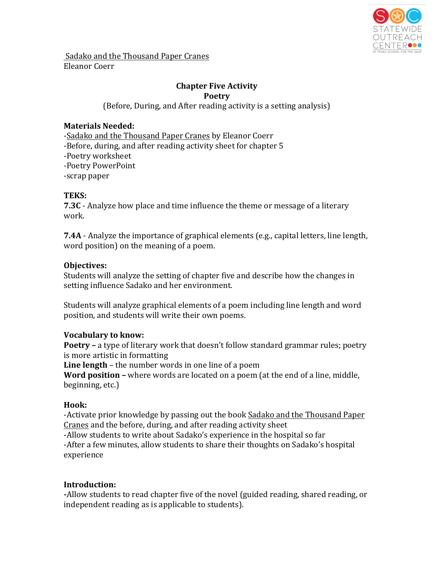

Sadako and the Thousand Paper Cranes Eleanor Coerr

#### **Chapter Five Activity Poetry**

(Before, During, and After reading activity is a setting analysis)

# **Materials Needed:**

-Sadako and the Thousand Paper Cranes by Eleanor Coerr -Before, during, and after reading activity sheet for chapter 5 -Poetry worksheet -Poetry PowerPoint -scrap paper

### **TEKS:**

**7.3C** - Analyze how place and time influence the theme or message of a literary work.

**7.4A** - Analyze the importance of graphical elements (e.g., capital letters, line length, word position) on the meaning of a poem.

### **Objectives:**

Students will analyze the setting of chapter five and describe how the changes in setting influence Sadako and her environment.

Students will analyze graphical elements of a poem including line length and word position, and students will write their own poems.

# **Vocabulary to know:**

**Poetry** – a type of literary work that doesn't follow standard grammar rules; poetry is more artistic in formatting

**Line length** – the number words in one line of a poem

**Word position** – where words are located on a poem (at the end of a line, middle, beginning, etc.)

# **Hook:**

-Activate prior knowledge by passing out the book Sadako and the Thousand Paper Cranes and the before, during, and after reading activity sheet -Allow students to write about Sadako's experience in the hospital so far -After a few minutes, allow students to share their thoughts on Sadako's hospital experience

# **Introduction:**

-Allow students to read chapter five of the novel (guided reading, shared reading, or independent reading as is applicable to students).